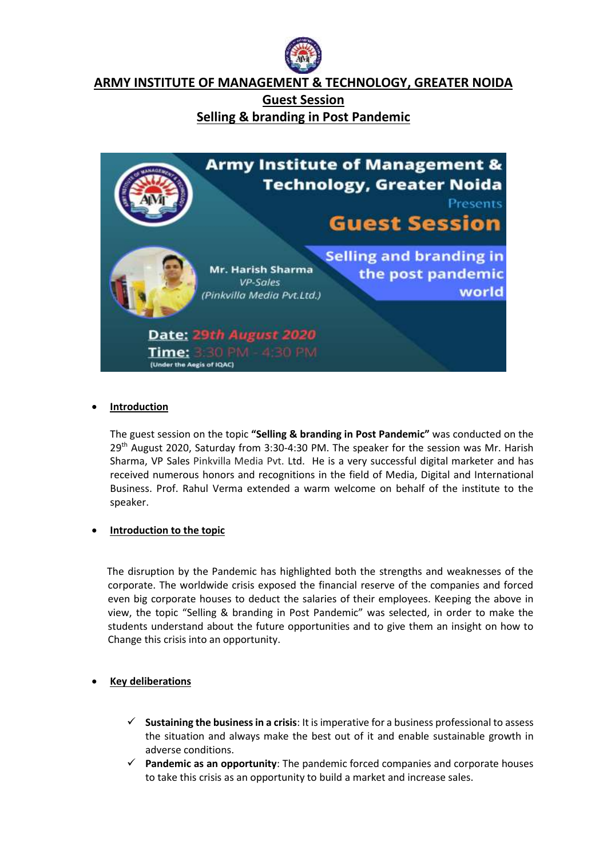

**ARMY INSTITUTE OF MANAGEMENT & TECHNOLOGY, GREATER NOIDA**

**Guest Session Selling & branding in Post Pandemic**



# • **Introduction**

The guest session on the topic **"Selling & branding in Post Pandemic"** was conducted on the 29<sup>th</sup> August 2020, Saturday from 3:30-4:30 PM. The speaker for the session was Mr. Harish Sharma, VP Sales Pinkvilla Media Pvt. Ltd. He is a very successful digital marketer and has received numerous honors and recognitions in the field of Media, Digital and International Business. Prof. Rahul Verma extended a warm welcome on behalf of the institute to the speaker.

# • **Introduction to the topic**

 The disruption by the Pandemic has highlighted both the strengths and weaknesses of the corporate. The worldwide crisis exposed the financial reserve of the companies and forced even big corporate houses to deduct the salaries of their employees. Keeping the above in view, the topic "Selling & branding in Post Pandemic" was selected, in order to make the students understand about the future opportunities and to give them an insight on how to Change this crisis into an opportunity.

# • **Key deliberations**

- ✓ **Sustaining the business in a crisis**: It is imperative for a business professional to assess the situation and always make the best out of it and enable sustainable growth in adverse conditions.
- ✓ **Pandemic as an opportunity**: The pandemic forced companies and corporate houses to take this crisis as an opportunity to build a market and increase sales.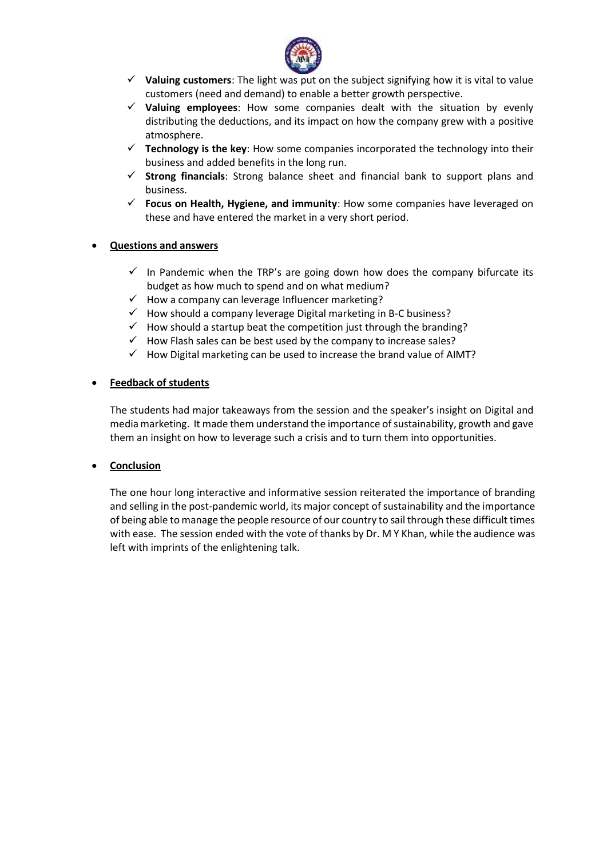

- ✓ **Valuing customers**: The light was put on the subject signifying how it is vital to value customers (need and demand) to enable a better growth perspective.
- ✓ **Valuing employees**: How some companies dealt with the situation by evenly distributing the deductions, and its impact on how the company grew with a positive atmosphere.
- ✓ **Technology is the key**: How some companies incorporated the technology into their business and added benefits in the long run.
- ✓ **Strong financials**: Strong balance sheet and financial bank to support plans and business.
- ✓ **Focus on Health, Hygiene, and immunity**: How some companies have leveraged on these and have entered the market in a very short period.

## • **Questions and answers**

- $\checkmark$  In Pandemic when the TRP's are going down how does the company bifurcate its budget as how much to spend and on what medium?
- $\checkmark$  How a company can leverage Influencer marketing?
- ✓ How should a company leverage Digital marketing in B-C business?
- $\checkmark$  How should a startup beat the competition just through the branding?
- $\checkmark$  How Flash sales can be best used by the company to increase sales?
- $\checkmark$  How Digital marketing can be used to increase the brand value of AIMT?

# • **Feedback of students**

The students had major takeaways from the session and the speaker's insight on Digital and media marketing. It made them understand the importance of sustainability, growth and gave them an insight on how to leverage such a crisis and to turn them into opportunities.

# • **Conclusion**

The one hour long interactive and informative session reiterated the importance of branding and selling in the post-pandemic world, its major concept of sustainability and the importance of being able to manage the people resource of our country to sail through these difficult times with ease. The session ended with the vote of thanks by Dr. M Y Khan, while the audience was left with imprints of the enlightening talk.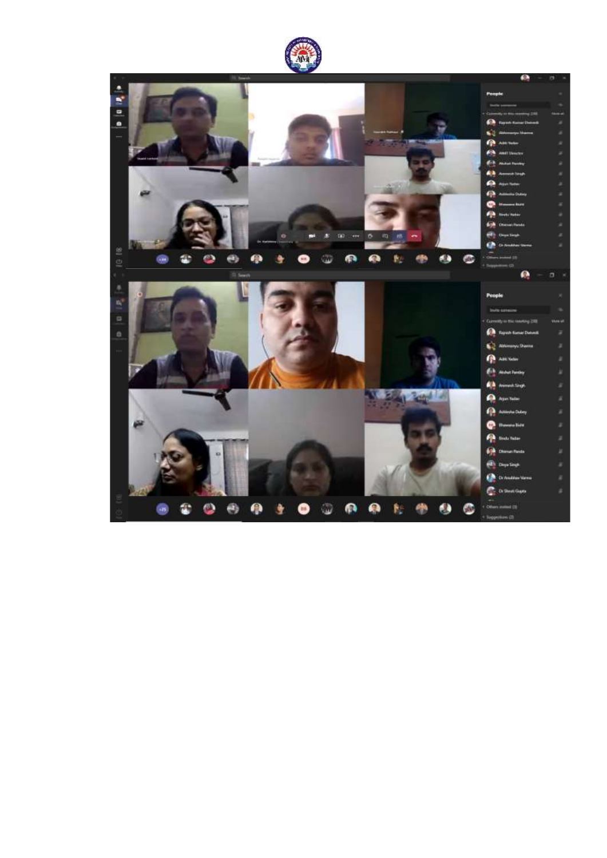

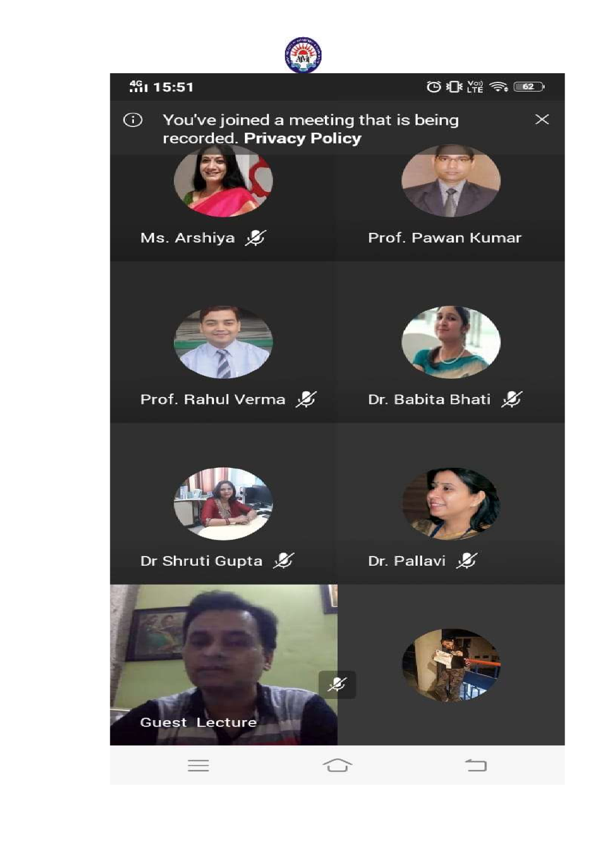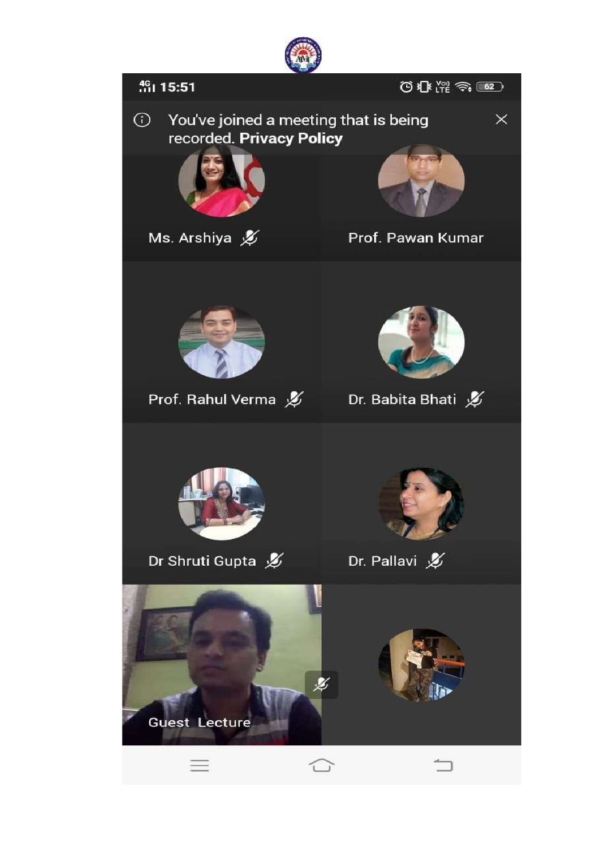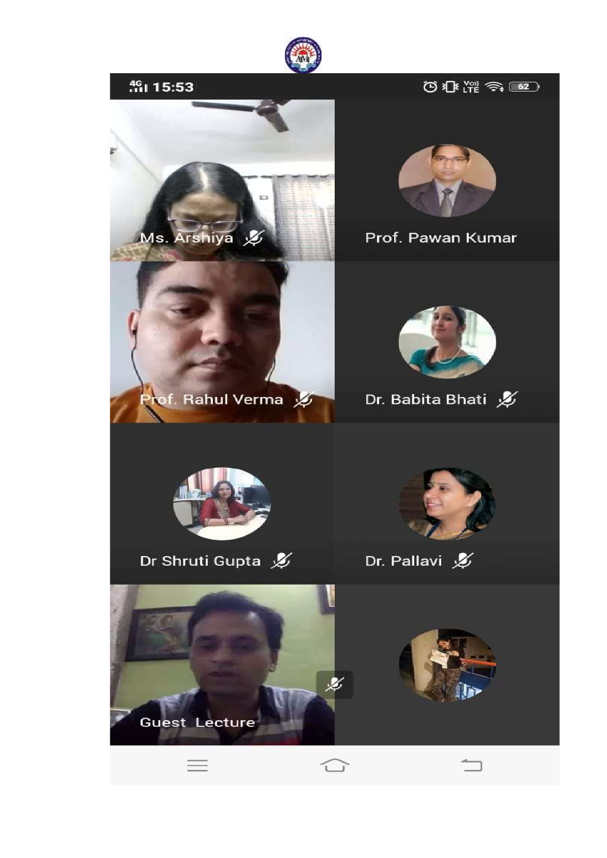